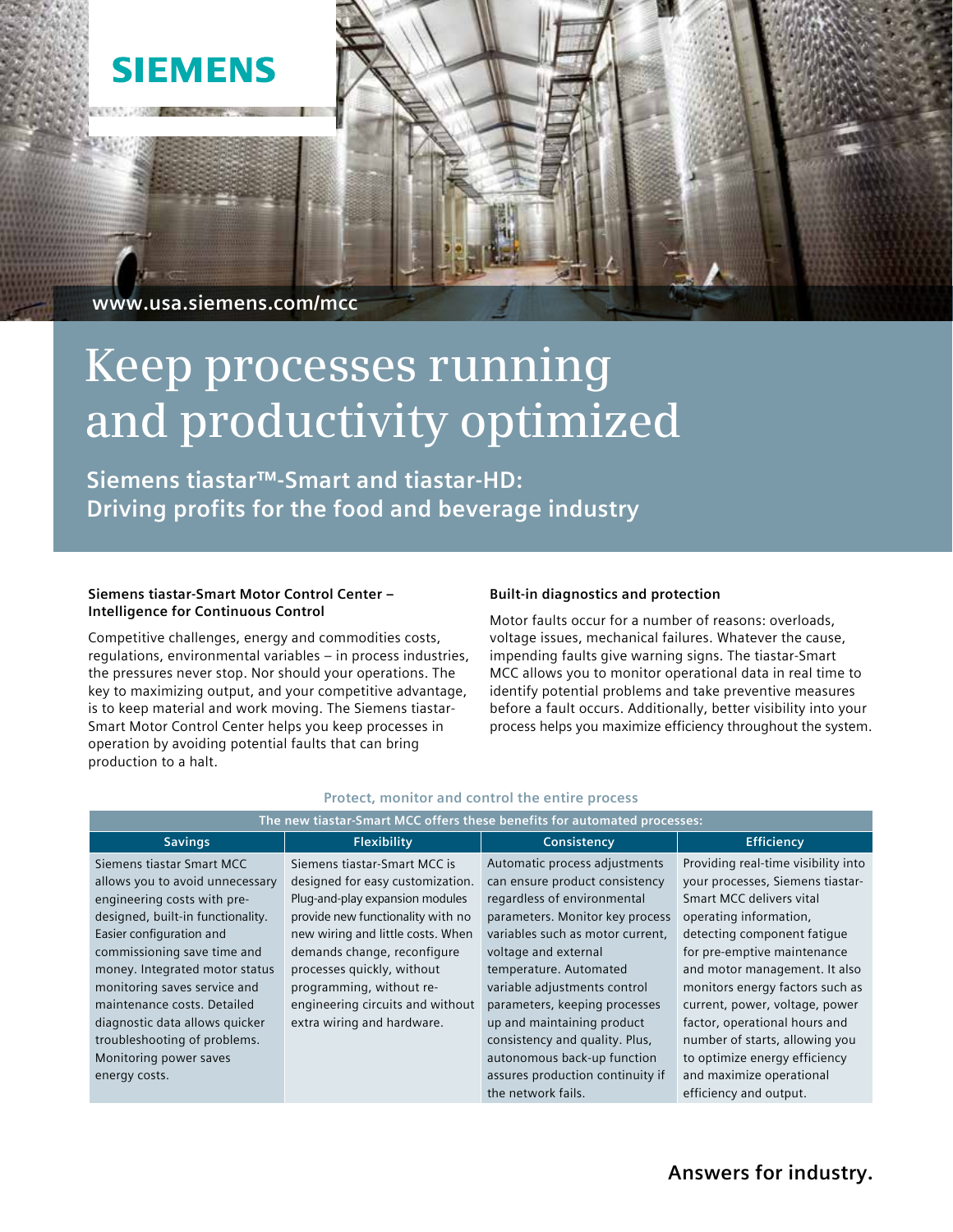## **SIEMENS**

 **www.usa.siemens.com/mcc**

# **Keep processes running and productivity optimized**

**Siemens tiastar™-Smart and tiastar-HD: Driving profits for the food and beverage industry**

#### **Siemens tiastar-Smart Motor Control Center – Intelligence for Continuous Control**

Competitive challenges, energy and commodities costs, regulations, environmental variables – in process industries, the pressures never stop. Nor should your operations. The key to maximizing output, and your competitive advantage, is to keep material and work moving. The Siemens tiastar-Smart Motor Control Center helps you keep processes in operation by avoiding potential faults that can bring production to a halt.

#### **Built-in diagnostics and protection**

Motor faults occur for a number of reasons: overloads, voltage issues, mechanical failures. Whatever the cause, impending faults give warning signs. The tiastar-Smart MCC allows you to monitor operational data in real time to identify potential problems and take preventive measures before a fault occurs. Additionally, better visibility into your process helps you maximize efficiency throughout the system.

| The new tiastar-Smart MCC offers these benefits for automated processes:                                                                                                                                                                                                                                                       |                                                                                                                                                                                                                                                                                                                                          |                                                                                                                                                                                                                                                                                                                        |                                                                                                                                                                                                                                                                                                                                    |
|--------------------------------------------------------------------------------------------------------------------------------------------------------------------------------------------------------------------------------------------------------------------------------------------------------------------------------|------------------------------------------------------------------------------------------------------------------------------------------------------------------------------------------------------------------------------------------------------------------------------------------------------------------------------------------|------------------------------------------------------------------------------------------------------------------------------------------------------------------------------------------------------------------------------------------------------------------------------------------------------------------------|------------------------------------------------------------------------------------------------------------------------------------------------------------------------------------------------------------------------------------------------------------------------------------------------------------------------------------|
| <b>Savings</b>                                                                                                                                                                                                                                                                                                                 | <b>Flexibility</b>                                                                                                                                                                                                                                                                                                                       | Consistency                                                                                                                                                                                                                                                                                                            | <b>Efficiency</b>                                                                                                                                                                                                                                                                                                                  |
| Siemens tiastar Smart MCC<br>allows you to avoid unnecessary<br>engineering costs with pre-<br>designed, built-in functionality.<br>Easier configuration and<br>commissioning save time and<br>money. Integrated motor status<br>monitoring saves service and<br>maintenance costs. Detailed<br>diagnostic data allows quicker | Siemens tiastar-Smart MCC is<br>designed for easy customization.<br>Plug-and-play expansion modules<br>provide new functionality with no<br>new wiring and little costs. When<br>demands change, reconfigure<br>processes quickly, without<br>programming, without re-<br>engineering circuits and without<br>extra wiring and hardware. | Automatic process adjustments<br>can ensure product consistency<br>regardless of environmental<br>parameters. Monitor key process<br>variables such as motor current,<br>voltage and external<br>temperature. Automated<br>variable adjustments control<br>parameters, keeping processes<br>up and maintaining product | Providing real-time visibility into<br>your processes, Siemens tiastar-<br>Smart MCC delivers vital<br>operating information,<br>detecting component fatique<br>for pre-emptive maintenance<br>and motor management. It also<br>monitors energy factors such as<br>current, power, voltage, power<br>factor, operational hours and |
| troubleshooting of problems.                                                                                                                                                                                                                                                                                                   |                                                                                                                                                                                                                                                                                                                                          | consistency and quality. Plus,<br>autonomous back-up function                                                                                                                                                                                                                                                          | number of starts, allowing you<br>to optimize energy efficiency                                                                                                                                                                                                                                                                    |
| Monitoring power saves<br>energy costs.                                                                                                                                                                                                                                                                                        |                                                                                                                                                                                                                                                                                                                                          | assures production continuity if                                                                                                                                                                                                                                                                                       | and maximize operational                                                                                                                                                                                                                                                                                                           |
|                                                                                                                                                                                                                                                                                                                                |                                                                                                                                                                                                                                                                                                                                          | the network fails.                                                                                                                                                                                                                                                                                                     | efficiency and output.                                                                                                                                                                                                                                                                                                             |

#### **Protect, monitor and control the entire process**

### **Answers for industry.**